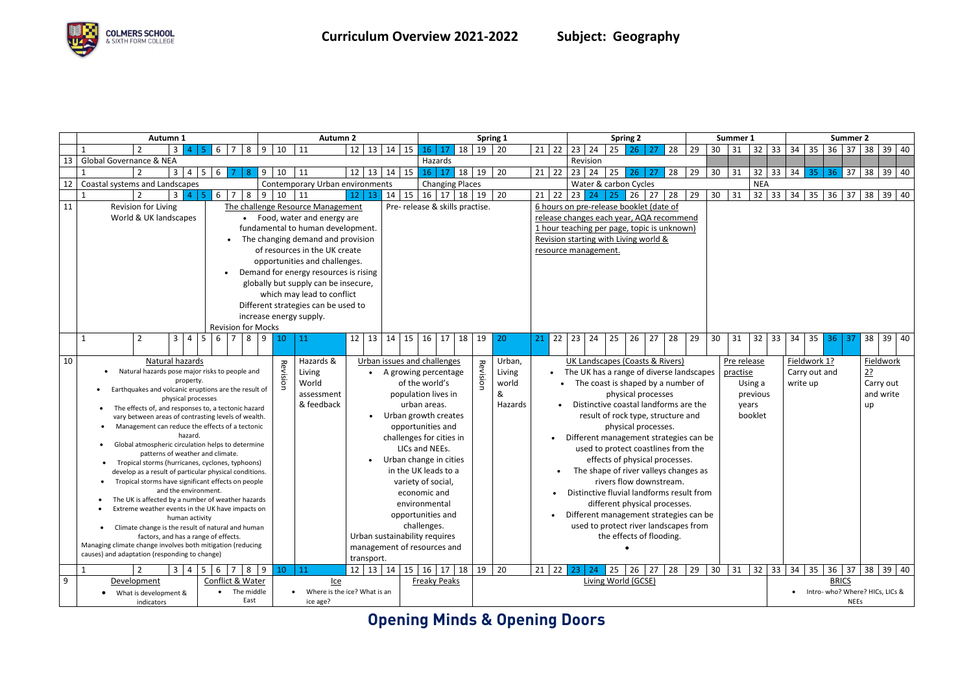# **Opening Minds & Opening Doors**

|    |                                                                                                              | Autumn 1 |                                                     |                                                                            | <b>Autumn 2</b>                  |            |                 |                           |                                                                        | Spring 1                                                           |       |                    |                             |                                        | <b>Spring 2</b>                            |                        |           |                                    |         | Summer 1                 |                         |                       | Summer 2                                  |                                                                               |    |                                   |          |    |             |            |              |    |               |    |         |    |           |              |
|----|--------------------------------------------------------------------------------------------------------------|----------|-----------------------------------------------------|----------------------------------------------------------------------------|----------------------------------|------------|-----------------|---------------------------|------------------------------------------------------------------------|--------------------------------------------------------------------|-------|--------------------|-----------------------------|----------------------------------------|--------------------------------------------|------------------------|-----------|------------------------------------|---------|--------------------------|-------------------------|-----------------------|-------------------------------------------|-------------------------------------------------------------------------------|----|-----------------------------------|----------|----|-------------|------------|--------------|----|---------------|----|---------|----|-----------|--------------|
|    |                                                                                                              |          |                                                     | 3 <sup>1</sup>                                                             |                                  | 6          |                 | 8<br>9                    | 10                                                                     | 11                                                                 | 12    |                    | $13 \mid 14 \mid 15$        |                                        | 16                                         | 17                     | 18        | $19 \mid 20$                       |         |                          | $21 \mid 22$            | $23 \mid 24$          |                                           | 25<br>26.                                                                     |    | 28                                | 29       | 30 | 31          |            | $32 \mid 33$ | 34 | 35            |    | $36$ 37 |    |           | $38$ 39 40   |
| 13 |                                                                                                              |          | <b>Global Governance &amp; NEA</b>                  |                                                                            |                                  |            |                 |                           |                                                                        |                                                                    |       |                    |                             |                                        |                                            | Hazards                |           |                                    |         |                          |                         | Revision              |                                           |                                                                               |    |                                   |          |    |             |            |              |    |               |    |         |    |           |              |
|    |                                                                                                              |          |                                                     | $3 \mid 4$                                                                 | 5 <sub>1</sub>                   | 6          |                 | 9<br>8                    | 10                                                                     | 11                                                                 | 12    |                    | $13 \mid 14 \mid 15$        |                                        | 16                                         | 17                     | 18        | 19                                 | 20      |                          | $21 \mid 22$            | 23<br>24              |                                           | 25<br>26                                                                      | 27 | 28                                | 29       | 30 | 31          | 32         | 33           | 34 | 35            | 36 | 37      | 38 | 39        | 40           |
| 12 |                                                                                                              |          | Coastal systems and Landscapes                      |                                                                            |                                  |            |                 |                           |                                                                        | Contemporary Urban environments                                    |       |                    |                             |                                        |                                            | <b>Changing Places</b> |           |                                    |         |                          |                         |                       |                                           | Water & carbon Cycles                                                         |    |                                   |          |    |             | <b>NEA</b> |              |    |               |    |         |    |           |              |
|    |                                                                                                              |          |                                                     | 3 <sup>1</sup>                                                             | -5                               | 6          | $\overline{7}$  | 8<br>9                    | 10                                                                     | 11                                                                 | 12    | 13                 |                             | $14 \mid 15$                           |                                            | $16$ 17                | $18$   19 |                                    | 20      |                          | $21 \mid 22$            | 23 $\vert$<br>24      |                                           | 26<br>25                                                                      | 27 | 28                                | 29       | 30 | 31          |            | $32 \mid 33$ | 34 | 35            | 36 | 37      | 38 |           | 39 40        |
| 11 |                                                                                                              |          | Revision for Living                                 |                                                                            |                                  |            |                 |                           |                                                                        | The challenge Resource Management                                  |       |                    |                             |                                        | Pre- release & skills practise.            |                        |           |                                    |         |                          |                         |                       |                                           | 6 hours on pre-release booklet (date of                                       |    |                                   |          |    |             |            |              |    |               |    |         |    |           |              |
|    |                                                                                                              |          | World & UK landscapes                               |                                                                            |                                  |            |                 |                           |                                                                        | Food, water and energy are                                         |       |                    |                             |                                        |                                            |                        |           |                                    |         |                          |                         |                       |                                           | release changes each year, AQA recommend                                      |    |                                   |          |    |             |            |              |    |               |    |         |    |           |              |
|    |                                                                                                              |          |                                                     |                                                                            |                                  |            |                 |                           |                                                                        | fundamental to human development.                                  |       |                    |                             |                                        |                                            |                        |           |                                    |         |                          |                         |                       |                                           | 1 hour teaching per page, topic is unknown)                                   |    |                                   |          |    |             |            |              |    |               |    |         |    |           |              |
|    |                                                                                                              |          |                                                     |                                                                            |                                  |            |                 |                           |                                                                        | The changing demand and provision                                  |       |                    |                             |                                        |                                            |                        |           |                                    |         |                          |                         |                       |                                           | Revision starting with Living world &                                         |    |                                   |          |    |             |            |              |    |               |    |         |    |           |              |
|    |                                                                                                              |          |                                                     |                                                                            |                                  |            |                 |                           |                                                                        | of resources in the UK create                                      |       |                    |                             |                                        |                                            |                        |           |                                    |         |                          |                         | resource management.  |                                           |                                                                               |    |                                   |          |    |             |            |              |    |               |    |         |    |           |              |
|    |                                                                                                              |          |                                                     |                                                                            |                                  |            |                 |                           |                                                                        | opportunities and challenges.                                      |       |                    |                             |                                        |                                            |                        |           |                                    |         |                          |                         |                       |                                           |                                                                               |    |                                   |          |    |             |            |              |    |               |    |         |    |           |              |
|    |                                                                                                              |          |                                                     |                                                                            |                                  | $\bullet$  |                 |                           |                                                                        | Demand for energy resources is rising                              |       |                    |                             |                                        |                                            |                        |           |                                    |         |                          |                         |                       |                                           |                                                                               |    |                                   |          |    |             |            |              |    |               |    |         |    |           |              |
|    |                                                                                                              |          |                                                     |                                                                            |                                  |            |                 |                           |                                                                        | globally but supply can be insecure,<br>which may lead to conflict |       |                    |                             |                                        |                                            |                        |           |                                    |         |                          |                         |                       |                                           |                                                                               |    |                                   |          |    |             |            |              |    |               |    |         |    |           |              |
|    |                                                                                                              |          |                                                     |                                                                            |                                  |            |                 |                           |                                                                        | Different strategies can be used to                                |       |                    |                             |                                        |                                            |                        |           |                                    |         |                          |                         |                       |                                           |                                                                               |    |                                   |          |    |             |            |              |    |               |    |         |    |           |              |
|    |                                                                                                              |          |                                                     |                                                                            |                                  |            |                 |                           |                                                                        | increase energy supply.                                            |       |                    |                             |                                        |                                            |                        |           |                                    |         |                          |                         |                       |                                           |                                                                               |    |                                   |          |    |             |            |              |    |               |    |         |    |           |              |
|    |                                                                                                              |          |                                                     |                                                                            |                                  |            |                 | <b>Revision for Mocks</b> |                                                                        |                                                                    |       |                    |                             |                                        |                                            |                        |           |                                    |         |                          |                         |                       |                                           |                                                                               |    |                                   |          |    |             |            |              |    |               |    |         |    |           |              |
|    |                                                                                                              |          | 2                                                   | 3 <sup>1</sup>                                                             | $\overline{4}$<br>5 <sup>5</sup> | 6          | $7\overline{ }$ | 8<br>9                    | 10                                                                     | 11                                                                 | 12    |                    | 13<br>14                    | 15                                     | 16                                         | 17                     | 18        | 19                                 | 20      | 21                       | 22                      | 23<br>24              |                                           | 25<br>26                                                                      | 27 | 28                                | 29       | 30 | 31          | 32         | 33           | 34 | 35            | 36 | -37     | 38 |           | 39 40        |
|    |                                                                                                              |          |                                                     |                                                                            |                                  |            |                 |                           |                                                                        |                                                                    |       |                    |                             |                                        |                                            |                        |           |                                    |         |                          |                         |                       |                                           |                                                                               |    |                                   |          |    |             |            |              |    |               |    |         |    |           |              |
| 10 |                                                                                                              |          | Natural hazards                                     |                                                                            |                                  |            |                 |                           |                                                                        | Hazards &                                                          |       |                    | Urban issues and challenges |                                        |                                            |                        |           |                                    | Urban,  |                          |                         |                       |                                           | <b>UK Landscapes (Coasts &amp; Rivers)</b>                                    |    |                                   |          |    | Pre release |            |              |    | Fieldwork 1?  |    |         |    | Fieldwork |              |
|    |                                                                                                              |          | Natural hazards pose major risks to people and      |                                                                            |                                  |            |                 |                           | Revision                                                               | Living                                                             |       |                    |                             |                                        | A growing percentage                       |                        |           | Revision                           | Living  |                          | $\bullet$               |                       |                                           | The UK has a range of diverse landscapes                                      |    |                                   |          |    | practise    |            |              |    | Carry out and |    |         | 2? |           |              |
|    |                                                                                                              |          |                                                     | property.<br>World<br>Earthquakes and volcanic eruptions are the result of |                                  |            | of the world's  |                           |                                                                        |                                                                    | world |                    |                             |                                        |                                            |                        |           | The coast is shaped by a number of |         |                          |                         |                       | Using a                                   |                                                                               |    |                                   | write up |    |             |            | Carry out    |    |               |    |         |    |           |              |
|    |                                                                                                              |          |                                                     |                                                                            | physical processes               |            |                 |                           |                                                                        | assessment                                                         |       |                    |                             |                                        | population lives in                        |                        |           |                                    | &       |                          |                         |                       |                                           | physical processes                                                            |    |                                   |          |    |             | previous   |              |    |               |    |         |    | and write |              |
|    |                                                                                                              |          | The effects of, and responses to, a tectonic hazard |                                                                            |                                  |            |                 |                           |                                                                        | & feedback                                                         |       |                    |                             |                                        | urban areas.                               |                        |           |                                    | Hazards |                          |                         |                       |                                           | Distinctive coastal landforms are the                                         |    |                                   |          |    |             | years      |              |    |               |    |         | up |           |              |
|    |                                                                                                              |          | vary between areas of contrasting levels of wealth. |                                                                            |                                  |            |                 |                           |                                                                        |                                                                    |       |                    |                             |                                        | Urban growth creates                       |                        |           |                                    |         |                          |                         |                       |                                           | result of rock type, structure and                                            |    |                                   |          |    |             | booklet    |              |    |               |    |         |    |           |              |
|    |                                                                                                              |          | Management can reduce the effects of a tectonic     |                                                                            | hazard.                          |            |                 |                           |                                                                        |                                                                    |       |                    |                             |                                        | opportunities and                          |                        |           |                                    |         |                          |                         |                       |                                           | physical processes.                                                           |    |                                   |          |    |             |            |              |    |               |    |         |    |           |              |
|    |                                                                                                              |          | Global atmospheric circulation helps to determine   |                                                                            |                                  |            |                 |                           |                                                                        |                                                                    |       |                    |                             |                                        | challenges for cities in<br>LICs and NEEs. |                        |           |                                    |         |                          |                         |                       |                                           | Different management strategies can be<br>used to protect coastlines from the |    |                                   |          |    |             |            |              |    |               |    |         |    |           |              |
|    |                                                                                                              |          | patterns of weather and climate.                    |                                                                            |                                  |            |                 |                           |                                                                        |                                                                    |       |                    |                             |                                        | Urban change in cities                     |                        |           |                                    |         |                          |                         |                       |                                           | effects of physical processes.                                                |    |                                   |          |    |             |            |              |    |               |    |         |    |           |              |
|    |                                                                                                              |          | Tropical storms (hurricanes, cyclones, typhoons)    |                                                                            |                                  |            |                 |                           |                                                                        |                                                                    |       |                    |                             |                                        | in the UK leads to a                       |                        |           |                                    |         |                          |                         |                       |                                           | The shape of river valleys changes as                                         |    |                                   |          |    |             |            |              |    |               |    |         |    |           |              |
|    | develop as a result of particular physical conditions.<br>Tropical storms have significant effects on people |          |                                                     |                                                                            |                                  |            |                 |                           |                                                                        |                                                                    |       | variety of social, |                             |                                        |                                            |                        |           |                                    |         |                          | rivers flow downstream. |                       |                                           |                                                                               |    |                                   |          |    |             |            |              |    |               |    |         |    |           |              |
|    |                                                                                                              |          |                                                     |                                                                            | and the environment.             |            |                 |                           |                                                                        |                                                                    |       | economic and       |                             |                                        |                                            |                        |           |                                    |         |                          |                         |                       | Distinctive fluvial landforms result from |                                                                               |    |                                   |          |    |             |            |              |    |               |    |         |    |           |              |
|    | The UK is affected by a number of weather hazards<br>environmental                                           |          |                                                     |                                                                            |                                  |            |                 |                           |                                                                        |                                                                    |       |                    |                             | different physical processes.          |                                            |                        |           |                                    |         |                          |                         |                       |                                           |                                                                               |    |                                   |          |    |             |            |              |    |               |    |         |    |           |              |
|    | Extreme weather events in the UK have impacts on<br>$\bullet$<br>opportunities and<br>human activity         |          |                                                     |                                                                            |                                  |            |                 |                           |                                                                        |                                                                    |       |                    |                             | Different management strategies can be |                                            |                        |           |                                    |         |                          |                         |                       |                                           |                                                                               |    |                                   |          |    |             |            |              |    |               |    |         |    |           |              |
|    |                                                                                                              |          | Climate change is the result of natural and human   |                                                                            |                                  |            |                 |                           |                                                                        |                                                                    |       |                    |                             |                                        | challenges.                                |                        |           |                                    |         |                          |                         |                       |                                           | used to protect river landscapes from                                         |    |                                   |          |    |             |            |              |    |               |    |         |    |           |              |
|    | factors, and has a range of effects.<br>Managing climate change involves both mitigation (reducing           |          |                                                     |                                                                            |                                  |            |                 |                           | Urban sustainability requires                                          |                                                                    |       |                    |                             |                                        |                                            |                        |           |                                    |         | the effects of flooding. |                         |                       |                                           |                                                                               |    |                                   |          |    |             |            |              |    |               |    |         |    |           |              |
|    |                                                                                                              |          | causes) and adaptation (responding to change)       |                                                                            |                                  |            |                 |                           |                                                                        |                                                                    |       |                    | management of resources and |                                        |                                            |                        |           |                                    |         |                          |                         |                       |                                           |                                                                               |    |                                   |          |    |             |            |              |    |               |    |         |    |           |              |
|    |                                                                                                              |          |                                                     |                                                                            |                                  |            |                 |                           |                                                                        |                                                                    |       |                    | transport.                  |                                        |                                            |                        |           |                                    |         |                          |                         |                       |                                           |                                                                               |    |                                   |          |    |             |            |              |    |               |    |         |    |           |              |
|    |                                                                                                              |          |                                                     | $3 \mid 4 \mid$                                                            |                                  | $5 \mid 6$ |                 | 7 8 9                     | 10                                                                     | 11                                                                 |       |                    | $12 \mid 13 \mid 14 \mid$   |                                        | $15 \mid 16 \mid 17 \mid 18$               |                        |           | 19                                 | 20      |                          | 21<br>22                | 23 <sup>°</sup><br>24 |                                           | 25<br>26                                                                      |    | $27 \overline{\smash{\big)}\ 28}$ | 29       | 30 | 31          |            | $32$ 33      | 34 | 35            |    | $36$ 37 |    |           | 38   39   40 |
| 9  | Conflict & Water<br><b>Freaky Peaks</b><br>$lce$<br>Development                                              |          |                                                     |                                                                            |                                  |            |                 |                           | Living World (GCSE)<br><b>BRICS</b><br>Intro- who? Where? HICs, LICs & |                                                                    |       |                    |                             |                                        |                                            |                        |           |                                    |         |                          |                         |                       |                                           |                                                                               |    |                                   |          |    |             |            |              |    |               |    |         |    |           |              |
|    | The middle<br>Where is the ice? What is an<br>What is development &<br>East<br>ice age?<br>indicators        |          |                                                     |                                                                            |                                  |            |                 |                           |                                                                        |                                                                    |       |                    |                             |                                        |                                            |                        |           |                                    |         |                          |                         |                       |                                           |                                                                               |    | <b>NEEs</b>                       |          |    |             |            |              |    |               |    |         |    |           |              |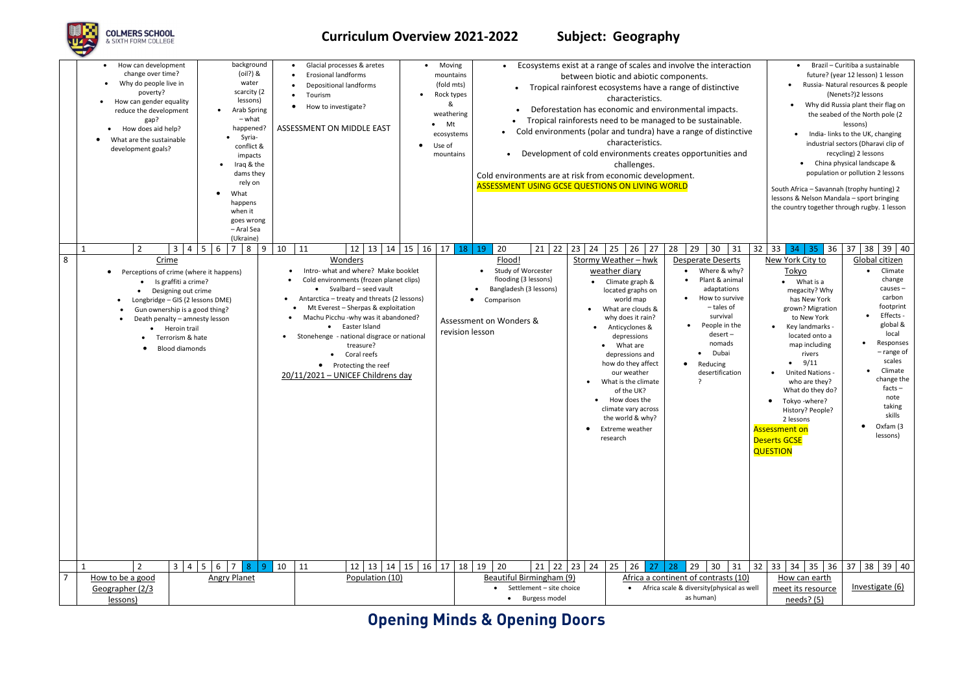# **Opening Minds & Opening Doors**



## **Curriculum Overview 2021-2022 Subject: Geography**

|                | background<br>How can development<br>(oil?) &<br>change over time?<br>Why do people live in<br>water<br>$\bullet$<br>scarcity (2<br>poverty?<br>lessons)<br>How can gender equality<br>Arab Spring<br>reduce the development<br>$\bullet$<br>$-$ what<br>gap?<br>happened?<br>How does aid help?<br>Syria-<br>$\bullet$<br>What are the sustainable<br>$\bullet$<br>conflict &<br>development goals?<br>impacts<br>Iraq & the<br>$\bullet$<br>dams they<br>rely on<br>What<br>happens<br>when it<br>goes wrong<br>- Aral Sea | Glacial processes & aretes<br>Moving<br><b>Erosional landforms</b><br>(fold mts)<br><b>Depositional landforms</b><br>Rock types<br>Tourism<br>&<br>How to investigate?<br>$\bullet$ Mt<br>ASSESSMENT ON MIDDLE EAST<br>ecosystems<br>Use of<br>mountains                                                                                                                                                     | $\bullet$<br>mountains<br>weathering<br>$\bullet$<br>Cold environments are at risk from economic development.<br><b>ASSESSMENT USING GCSE QUESTIONS ON LIVING WORLD</b> | Ecosystems exist at a range of scales and involve the interaction<br>between biotic and abiotic components.<br>Tropical rainforest ecosystems have a range of distinctive<br>characteristics.<br>Deforestation has economic and environmental impacts.<br>Tropical rainforests need to be managed to be sustainable.<br>Cold environments (polar and tundra) have a range of distinctive<br>characteristics.<br>Development of cold environments creates opportunities and<br>challenges.                                                                                         | Brazil - Curitiba a sustainable<br>future? (year 12 lesson) 1 lesson<br>Russia- Natural resources & people<br>(Nenets?)2 lessons<br>Why did Russia plant their flag on<br>the seabed of the North pole (2)<br>lessons)<br>India- links to the UK, changing<br>industrial sectors (Dharavi clip of<br>recycling) 2 lessons<br>China physical landscape &<br>population or pollution 2 lessons<br>South Africa - Savannah (trophy hunting) 2<br>lessons & Nelson Mandala - sport bringing<br>the country together through rugby. 1 lesson                                                                                                                                             |
|----------------|------------------------------------------------------------------------------------------------------------------------------------------------------------------------------------------------------------------------------------------------------------------------------------------------------------------------------------------------------------------------------------------------------------------------------------------------------------------------------------------------------------------------------|--------------------------------------------------------------------------------------------------------------------------------------------------------------------------------------------------------------------------------------------------------------------------------------------------------------------------------------------------------------------------------------------------------------|-------------------------------------------------------------------------------------------------------------------------------------------------------------------------|-----------------------------------------------------------------------------------------------------------------------------------------------------------------------------------------------------------------------------------------------------------------------------------------------------------------------------------------------------------------------------------------------------------------------------------------------------------------------------------------------------------------------------------------------------------------------------------|-------------------------------------------------------------------------------------------------------------------------------------------------------------------------------------------------------------------------------------------------------------------------------------------------------------------------------------------------------------------------------------------------------------------------------------------------------------------------------------------------------------------------------------------------------------------------------------------------------------------------------------------------------------------------------------|
|                | (Ukraine)<br>$6 \mid 7$<br>8<br>$\mathbf{3}$<br>$\overline{2}$<br>$\overline{a}$<br>5 <sub>1</sub>                                                                                                                                                                                                                                                                                                                                                                                                                           | 9<br>$12$   13   14   15   16  <br>10<br>11<br>17                                                                                                                                                                                                                                                                                                                                                            | 18<br>20<br>$21 \mid 22 \mid 23 \mid 24$<br>19                                                                                                                          | 25<br>26<br>27<br>28<br>29<br>30<br>32<br>31                                                                                                                                                                                                                                                                                                                                                                                                                                                                                                                                      | 33<br>35 36 37<br>38<br>$39 \mid 40$<br>34                                                                                                                                                                                                                                                                                                                                                                                                                                                                                                                                                                                                                                          |
| 8              | Crime<br>Perceptions of crime (where it happens)<br>$\bullet$<br>Is graffiti a crime?<br>Designing out crime<br>Longbridge - GIS (2 lessons DME)<br>$\bullet$<br>Gun ownership is a good thing?<br>$\bullet$<br>Death penalty - amnesty lesson<br>Heroin trail<br>Terrorism & hate<br><b>Blood diamonds</b>                                                                                                                                                                                                                  | Wonders<br>Intro- what and where? Make booklet<br>Cold environments (frozen planet clips)<br>• Svalbard - seed vault<br>Antarctica – treaty and threats (2 lessons)<br>Mt Everest - Sherpas & exploitation<br>Machu Picchu -why was it abandoned?<br>• Easter Island<br>Stonehenge - national disgrace or national<br>treasure?<br>Coral reefs<br>• Protecting the reef<br>20/11/2021 - UNICEF Childrens day | Flood!<br>Study of Worcester<br>flooding (3 lessons)<br>Bangladesh (3 lessons)<br>Comparison<br>$\bullet$<br>Assessment on Wonders &<br>revision lesson<br>$\bullet$    | Stormy Weather - hwk<br><b>Desperate Deserts</b><br>Where & why?<br>weather diary<br>Plant & animal<br>Climate graph &<br>adaptations<br>located graphs on<br>How to survive<br>world map<br>- tales of<br>What are clouds &<br>survival<br>why does it rain?<br>People in the<br>• Anticyclones &<br>desert-<br>depressions<br>nomads<br>What are<br>Dubai<br>depressions and<br>how do they affect<br>Reducing<br>our weather<br>desertification<br>What is the climate<br>of the UK?<br>How does the<br>climate vary across<br>the world & why?<br>Extreme weather<br>research | New York City to<br>Global citizen<br>Climate<br>Tokyo<br>change<br>What is a<br>$causes -$<br>megacity? Why<br>carbon<br>has New York<br>footprint<br>grown? Migration<br>Effects -<br>to New York<br>global &<br>Key landmarks -<br>local<br>located onto a<br>Responses<br>$\bullet$<br>map including<br>$-$ range of<br>rivers<br>scales<br>$\bullet$ 9/11<br>Climate<br><b>United Nations -</b><br>$\bullet$<br>change the<br>who are they?<br>facts $-$<br>What do they do?<br>note<br>Tokyo -where?<br>$\bullet$<br>taking<br>History? People?<br>skills<br>2 lessons<br>Oxfam (3<br>$\bullet$<br><b>Assessment on</b><br>lessons)<br><b>Deserts GCSE</b><br><b>QUESTION</b> |
|                | 3   4   5   6   7   8                                                                                                                                                                                                                                                                                                                                                                                                                                                                                                        | $12 \mid 13 \mid 14 \mid 15 \mid 16 \mid 17 \mid 18 \mid 19 \mid 20$<br>9 <sup>°</sup><br>10<br>11                                                                                                                                                                                                                                                                                                           | $21 \mid 22 \mid 23 \mid 24$                                                                                                                                            | $\frac{1}{25}$<br>$26$ 27 28<br>$\vert$ 29<br>30 <sup>°</sup><br>31                                                                                                                                                                                                                                                                                                                                                                                                                                                                                                               | 32   33   34   35   36   37   38   39   40                                                                                                                                                                                                                                                                                                                                                                                                                                                                                                                                                                                                                                          |
| $\overline{7}$ | <b>Angry Planet</b><br>How to be a good                                                                                                                                                                                                                                                                                                                                                                                                                                                                                      | Population (10)                                                                                                                                                                                                                                                                                                                                                                                              | Beautiful Birmingham (9)                                                                                                                                                | Africa a continent of contrasts (10)                                                                                                                                                                                                                                                                                                                                                                                                                                                                                                                                              | How can earth                                                                                                                                                                                                                                                                                                                                                                                                                                                                                                                                                                                                                                                                       |
|                | Geographer (2/3                                                                                                                                                                                                                                                                                                                                                                                                                                                                                                              |                                                                                                                                                                                                                                                                                                                                                                                                              | Settlement - site choice<br>$\bullet$                                                                                                                                   | • Africa scale & diversity(physical as well                                                                                                                                                                                                                                                                                                                                                                                                                                                                                                                                       | Investigate (6)<br>meet its resource                                                                                                                                                                                                                                                                                                                                                                                                                                                                                                                                                                                                                                                |
|                | lessons)                                                                                                                                                                                                                                                                                                                                                                                                                                                                                                                     |                                                                                                                                                                                                                                                                                                                                                                                                              | • Burgess model                                                                                                                                                         | as human)                                                                                                                                                                                                                                                                                                                                                                                                                                                                                                                                                                         | needs? (5)                                                                                                                                                                                                                                                                                                                                                                                                                                                                                                                                                                                                                                                                          |